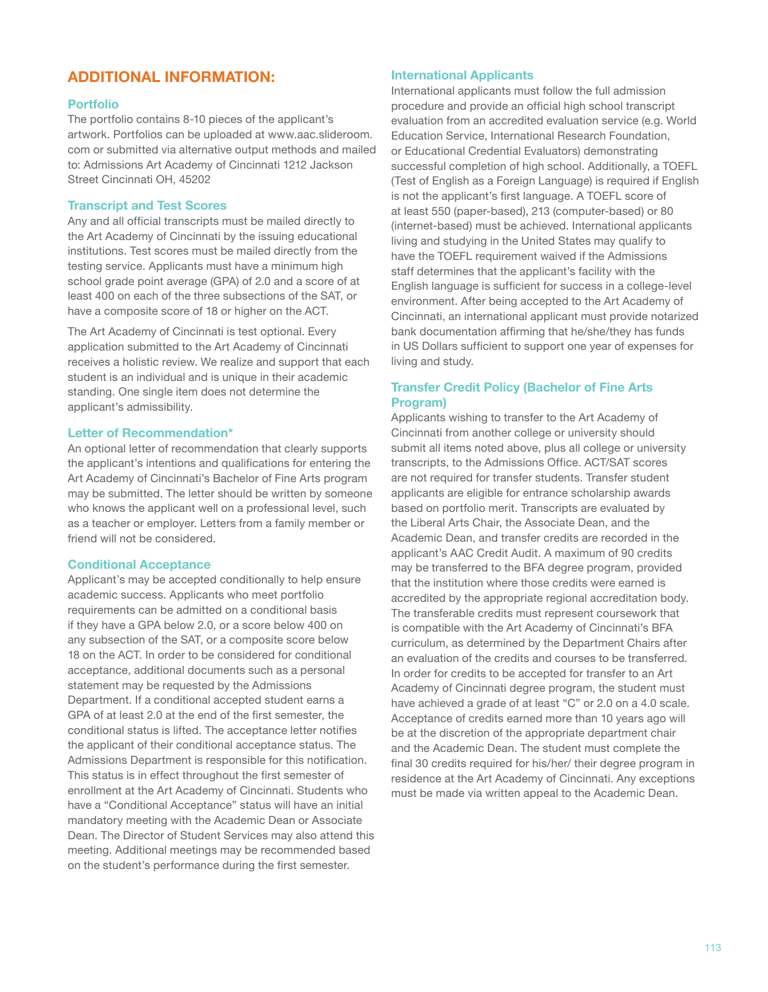# **ADDITIONAL INFORMATION:**

# **Portfolio**

The portfolio contains 8-10 pieces of the applicant's artwork. Portfolios can be uploaded at www.aac.slideroom. com or submitted via alternative output methods and mailed to: Admissions Art Academy of Cincinnati 1212 Jackson Street Cincinnati OH, 45202

# **Transcript and Test Scores**

Any and all official transcripts must be mailed directly to the Art Academy of Cincinnati by the issuing educational institutions. Test scores must be mailed directly from the testing service. Applicants must have a minimum high school grade point average (GPA) of 2.0 and a score of at least 400 on each of the three subsections of the SAT, or have a composite score of 18 or higher on the ACT.

The Art Academy of Cincinnati is test optional. Every application submitted to the Art Academy of Cincinnati receives a holistic review. We realize and support that each student is an individual and is unique in their academic standing. One single item does not determine the applicant's admissibility.

# **Letter of Recommendation\***

An optional letter of recommendation that clearly supports the applicant's intentions and qualifications for entering the Art Academy of Cincinnati's Bachelor of Fine Arts program may be submitted. The letter should be written by someone who knows the applicant well on a professional level, such as a teacher or employer. Letters from a family member or friend will not be considered.

### **Conditional Acceptance**

Applicant's may be accepted conditionally to help ensure academic success. Applicants who meet portfolio requirements can be admitted on a conditional basis if they have a GPA below 2.0, or a score below 400 on any subsection of the SAT, or a composite score below 18 on the ACT. In order to be considered for conditional acceptance, additional documents such as a personal statement may be requested by the Admissions Department. If a conditional accepted student earns a GPA of at least 2.0 at the end of the first semester, the conditional status is lifted. The acceptance letter notifies the applicant of their conditional acceptance status. The Admissions Department is responsible for this notification. This status is in effect throughout the first semester of enrollment at the Art Academy of Cincinnati. Students who have a "Conditional Acceptance" status will have an initial mandatory meeting with the Academic Dean or Associate Dean. The Director of Student Services may also attend this meeting. Additional meetings may be recommended based on the student's performance during the first semester.

## **International Applicants**

International applicants must follow the full admission procedure and provide an official high school transcript evaluation from an accredited evaluation service (e.g. World Education Service, International Research Foundation, or Educational Credential Evaluators) demonstrating successful completion of high school. Additionally, a TOEFL (Test of English as a Foreign Language) is required if English is not the applicant's first language. A TOEFL score of at least 550 (paper-based), 213 (computer-based) or 80 (internet-based) must be achieved. International applicants living and studying in the United States may qualify to have the TOEFL requirement waived if the Admissions staff determines that the applicant's facility with the English language is sufficient for success in a college-level environment. After being accepted to the Art Academy of Cincinnati, an international applicant must provide notarized bank documentation affirming that he/she/they has funds in US Dollars sufficient to support one year of expenses for living and study.

# **Transfer Credit Policy (Bachelor of Fine Arts Program)**

Applicants wishing to transfer to the Art Academy of Cincinnati from another college or university should submit all items noted above, plus all college or university transcripts, to the Admissions Office. ACT/SAT scores are not required for transfer students. Transfer student applicants are eligible for entrance scholarship awards based on portfolio merit. Transcripts are evaluated by the Liberal Arts Chair, the Associate Dean, and the Academic Dean, and transfer credits are recorded in the applicant's AAC Credit Audit. A maximum of 90 credits may be transferred to the BFA degree program, provided that the institution where those credits were earned is accredited by the appropriate regional accreditation body. The transferable credits must represent coursework that is compatible with the Art Academy of Cincinnati's BFA curriculum, as determined by the Department Chairs after an evaluation of the credits and courses to be transferred. In order for credits to be accepted for transfer to an Art Academy of Cincinnati degree program, the student must have achieved a grade of at least "C" or 2.0 on a 4.0 scale. Acceptance of credits earned more than 10 years ago will be at the discretion of the appropriate department chair and the Academic Dean. The student must complete the final 30 credits required for his/her/ their degree program in residence at the Art Academy of Cincinnati. Any exceptions must be made via written appeal to the Academic Dean.